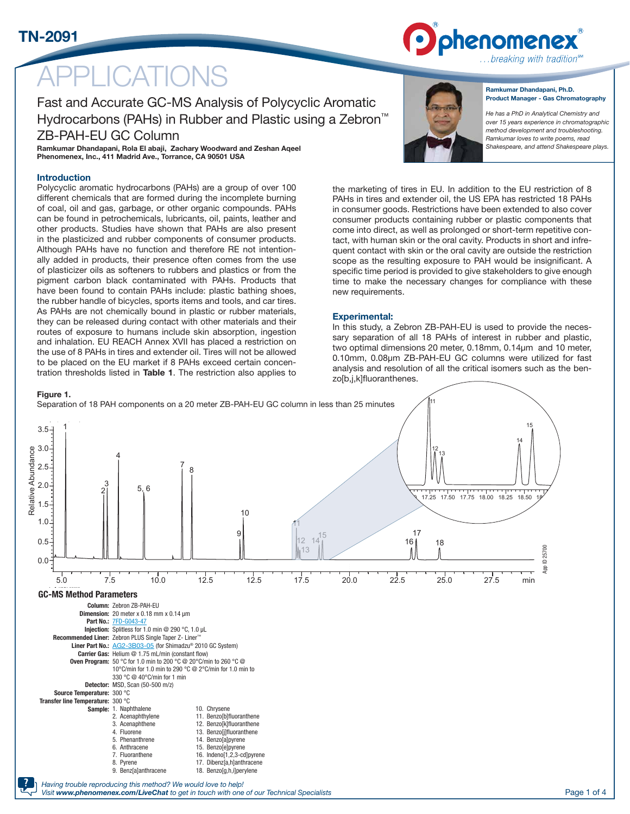# **LICATIONS**

Fast and Accurate GC-MS Analysis of Polycyclic Aromatic Hydrocarbons (PAHs) in Rubber and Plastic using a Zebron™ ZB-PAH-EU GC Column

Ramkumar Dhandapani, Rola El abaji, Zachary Woodward and Zeshan Aqeel Phenomenex, Inc., 411 Madrid Ave., Torrance, CA 90501 USA

### Introduction

Polycyclic aromatic hydrocarbons (PAHs) are a group of over 100 different chemicals that are formed during the incomplete burning of coal, oil and gas, garbage, or other organic compounds. PAHs can be found in petrochemicals, lubricants, oil, paints, leather and other products. Studies have shown that PAHs are also present in the plasticized and rubber components of consumer products. Although PAHs have no function and therefore RE not intentionally added in products, their presence often comes from the use of plasticizer oils as softeners to rubbers and plastics or from the pigment carbon black contaminated with PAHs. Products that have been found to contain PAHs include: plastic bathing shoes, the rubber handle of bicycles, sports items and tools, and car tires. As PAHs are not chemically bound in plastic or rubber materials, they can be released during contact with other materials and their routes of exposure to humans include skin absorption, ingestion and inhalation. EU REACH Annex XVII has placed a restriction on the use of 8 PAHs in tires and extender oil. Tires will not be allowed to be placed on the EU market if 8 PAHs exceed certain concentration thresholds listed in Table 1. The restriction also applies to



### Ramkumar Dhandapani, Ph.D. Product Manager - Gas Chromatography

..breaking with tradition®

phenomenex

*He has a PhD in Analytical Chemistry and over 15 years experience in chromatographic method development and troubleshooting. Ramkumar loves to write poems, read Shakespeare, and attend Shakespeare plays.*

the marketing of tires in EU. In addition to the EU restriction of 8 PAHs in tires and extender oil, the US EPA has restricted 18 PAHs in consumer goods. Restrictions have been extended to also cover consumer products containing rubber or plastic components that come into direct, as well as prolonged or short-term repetitive contact, with human skin or the oral cavity. Products in short and infrequent contact with skin or the oral cavity are outside the restriction scope as the resulting exposure to PAH would be insignificant. A specific time period is provided to give stakeholders to give enough time to make the necessary changes for compliance with these new requirements. 4

### Experimental:

In this study, a Zebron ZB-PAH-EU is used to provide the neces-10 sary separation of all 18 PAHs of interest in rubber and plastic, two optimal dimensions 20 meter, 0.18mm, 0.14µm and 10 meter, 0.10mm, 0.08µm ZB-PAH-EU GC columns were utilized for fast analysis and resolution of all the critical isomers such as the ben $z$ o[b,j,k]fluoranthenes.

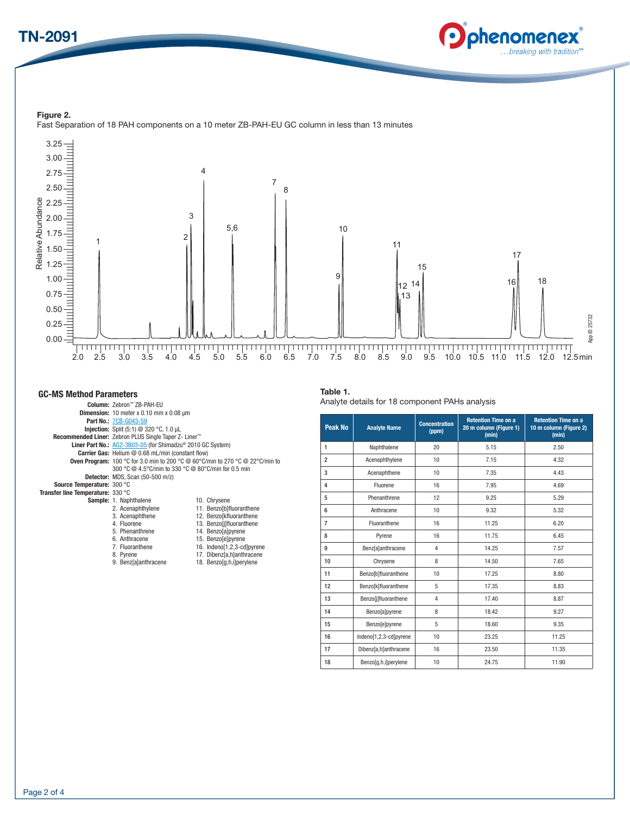## TN-2091



Figure 2. Fast Separation of 18 PAH components on a 10 meter ZB-PAH-EU GC column in less than 13 minutes



### GC-MS Method Parameters

|                                   | Column: Zebron™ ZB-PAH-EU                                                            |                            |  |  |
|-----------------------------------|--------------------------------------------------------------------------------------|----------------------------|--|--|
|                                   | <b>Dimension:</b> 10 meter $x$ 0.10 mm $x$ 0.08 $\mu$ m                              |                            |  |  |
|                                   | <b>Part No.: 7CB-G043-59</b>                                                         |                            |  |  |
|                                   | <b>Injection:</b> Split $(5:1)$ @ 320 °C, 1.0 $\mu$ L                                |                            |  |  |
|                                   | Recommended Liner: Zebron PLUS Single Taper Z- Liner™                                |                            |  |  |
|                                   | <b>Liner Part No.:</b> AG2-3B03-05 (for Shimadzu® 2010 GC System)                    |                            |  |  |
|                                   | <b>Carrier Gas:</b> Helium @ 0.68 mL/min (constant flow)                             |                            |  |  |
|                                   | <b>Oven Program:</b> 100 °C for 3.0 min to 200 °C @ 60°C/min to 270 °C @ 22°C/min to |                            |  |  |
|                                   | 300 °C @ 4.5°C/min to 330 °C @ 80°C/min for 0.5 min                                  |                            |  |  |
|                                   | <b>Detector:</b> MDS, Scan (50-500 m/z)                                              |                            |  |  |
| Source Temperature: 300 °C        |                                                                                      |                            |  |  |
| Transfer line Temperature: 330 °C |                                                                                      |                            |  |  |
|                                   | Sample: 1. Naphthalene                                                               | 10. Chrysene               |  |  |
|                                   | 2. Acenaphthylene                                                                    | 11. Benzo[b]fluoranthene   |  |  |
|                                   | 3. Acenaphthene                                                                      | 12. Benzo[kfluoranthene    |  |  |
|                                   | 4. Fluorene                                                                          | 13. Benzo[j]fluoranthene   |  |  |
|                                   | 5. Phenanthrene                                                                      | 14. Benzo[a]pyrene         |  |  |
|                                   | 6. Anthracene                                                                        | 15. Benzofelpyrene         |  |  |
|                                   | 7. Fluoranthene                                                                      | 16. Indeno[1,2,3-cd]pyrene |  |  |
|                                   | 8. Pyrene                                                                            | 17. Dibenz[a,h]anthracene  |  |  |
|                                   | 9. Benz[a]anthracene                                                                 | 18. Benzo[q,h,i]perylene   |  |  |
|                                   |                                                                                      |                            |  |  |
|                                   |                                                                                      |                            |  |  |

### Table 1.

Analyte details for 18 component PAHs analysis

| Peak No        | <b>Analyte Name</b>       | <b>Concentration</b><br>(ppm) | <b>Retention Time on a</b><br>20 m column (Figure 1)<br>(min) | <b>Retention Time on a</b><br>10 m column (Figure 2)<br>(min) |
|----------------|---------------------------|-------------------------------|---------------------------------------------------------------|---------------------------------------------------------------|
| $\mathbf{1}$   | Naphthalene               | 20                            | 5.15                                                          | 2.50                                                          |
| $\overline{2}$ | Acenaphthylene            | 10                            | 7.15                                                          | 4.32                                                          |
| 3              | Acenaphthene              | 10                            | 7.35                                                          | 4.43                                                          |
| 4              | Fluorene                  | 16                            | 7.95                                                          | 4.69                                                          |
| 5              | Phenanthrene              | 12                            | 9.25                                                          | 5.29                                                          |
| 6              | Anthracene                | 10                            | 9.32                                                          | 5.32                                                          |
| $\overline{7}$ | Fluoranthene              | 16                            | 11.25                                                         | 6.20                                                          |
| 8              | Pyrene                    | 16                            | 11.75                                                         | 6.45                                                          |
| 9              | <b>Benz</b> [a]anthracene | 4                             | 14.25                                                         | 7.57                                                          |
| 10             | Chrysene                  | 8                             | 14.50                                                         | 7.65                                                          |
| 11             | Benzo[b]fluoranthene      | 10                            | 17.25                                                         | 8.80                                                          |
| 12             | Benzo[k]fluoranthene      | 5                             | 17.35                                                         | 8.83                                                          |
| 13             | Benzo[j]fluoranthene      | $\overline{4}$                | 17.40                                                         | 8.87                                                          |
| 14             | Benzo[a]pyrene            | 8                             | 18.42                                                         | 9.27                                                          |
| 15             | Benzo[e]pyrene            | 5                             | 18.60                                                         | 9.35                                                          |
| 16             | Indeno[1,2,3-cd]pyrene    | 10                            | 23.25                                                         | 11.25                                                         |
| 17             | Dibenz[a,h]anthracene     | 16                            | 23.50                                                         | 11.35                                                         |
| 18             | Benzo[g,h,i]perylene      | 10                            | 24.75                                                         | 11.90                                                         |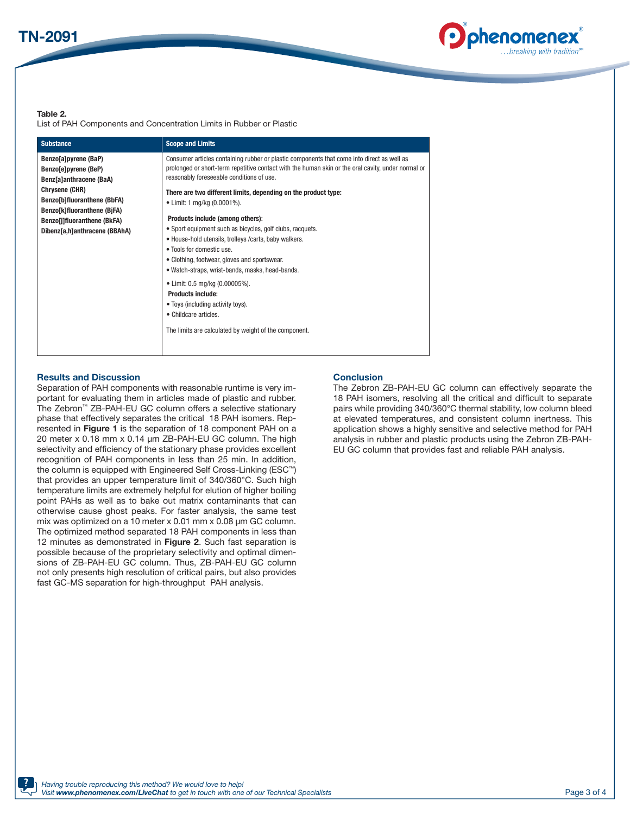

### Table 2.

List of PAH Components and Concentration Limits in Rubber or Plastic

| <b>Substance</b>                                                                                                                                                                                                        | <b>Scope and Limits</b>                                                                                                                                                                                                                                                                                                                                                                                                                                                                                                                                                                                                                                                                                                                                                                                                        |
|-------------------------------------------------------------------------------------------------------------------------------------------------------------------------------------------------------------------------|--------------------------------------------------------------------------------------------------------------------------------------------------------------------------------------------------------------------------------------------------------------------------------------------------------------------------------------------------------------------------------------------------------------------------------------------------------------------------------------------------------------------------------------------------------------------------------------------------------------------------------------------------------------------------------------------------------------------------------------------------------------------------------------------------------------------------------|
| Benzo[a]pyrene (BaP)<br>Benzo[e]pyrene (BeP)<br>Benz[a]anthracene (BaA)<br>Chrysene (CHR)<br>Benzo[b]fluoranthene (BbFA)<br>Benzo[k]fluoranthene (BjFA)<br>Benzo[j]fluoranthene (BkFA)<br>Dibenz[a,h]anthracene (BBAhA) | Consumer articles containing rubber or plastic components that come into direct as well as<br>prolonged or short-term repetitive contact with the human skin or the oral cavity, under normal or<br>reasonably foreseeable conditions of use.<br>There are two different limits, depending on the product type:<br>• Limit: 1 mg/kg (0.0001%).<br>Products include (among others):<br>• Sport equipment such as bicycles, golf clubs, racquets.<br>• House-hold utensils, trolleys / carts, baby walkers.<br>• Tools for domestic use.<br>• Clothing, footwear, gloves and sportswear.<br>• Watch-straps, wrist-bands, masks, head-bands.<br>• Limit: 0.5 mg/kg (0.00005%).<br><b>Products include:</b><br>• Toys (including activity toys).<br>• Childcare articles.<br>The limits are calculated by weight of the component. |

### Results and Discussion

Separation of PAH components with reasonable runtime is very important for evaluating them in articles made of plastic and rubber. The Zebron™ ZB-PAH-EU GC column offers a selective stationary phase that effectively separates the critical 18 PAH isomers. Represented in Figure 1 is the separation of 18 component PAH on a 20 meter x 0.18 mm x 0.14 µm ZB-PAH-EU GC column. The high selectivity and efficiency of the stationary phase provides excellent recognition of PAH components in less than 25 min. In addition, the column is equipped with Engineered Self Cross-Linking (ESC™) that provides an upper temperature limit of 340/360°C. Such high temperature limits are extremely helpful for elution of higher boiling point PAHs as well as to bake out matrix contaminants that can otherwise cause ghost peaks. For faster analysis, the same test mix was optimized on a 10 meter x 0.01 mm x 0.08 µm GC column. The optimized method separated 18 PAH components in less than 12 minutes as demonstrated in Figure 2. Such fast separation is possible because of the proprietary selectivity and optimal dimensions of ZB-PAH-EU GC column. Thus, ZB-PAH-EU GC column not only presents high resolution of critical pairs, but also provides fast GC-MS separation for high-throughput PAH analysis.

### **Conclusion**

The Zebron ZB-PAH-EU GC column can effectively separate the 18 PAH isomers, resolving all the critical and difficult to separate pairs while providing 340/360°C thermal stability, low column bleed at elevated temperatures, and consistent column inertness. This application shows a highly sensitive and selective method for PAH analysis in rubber and plastic products using the Zebron ZB-PAH-EU GC column that provides fast and reliable PAH analysis.